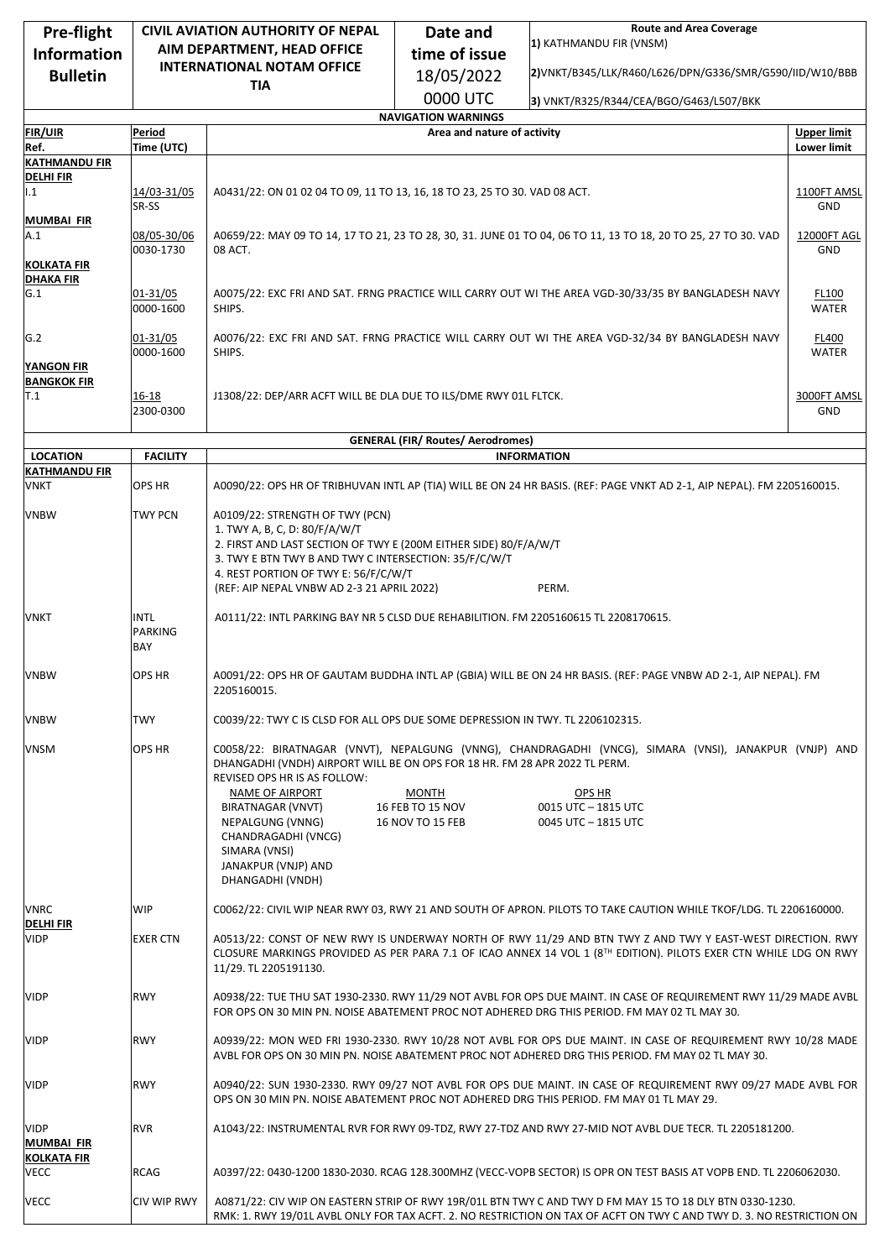| Pre-flight                                             |                               | <b>CIVIL AVIATION AUTHORITY OF NEPAL</b>                                                                                                                                                                                                                                                     | Date and                                      | <b>Route and Area Coverage</b>                                                                                                                                 |                    |  |  |  |
|--------------------------------------------------------|-------------------------------|----------------------------------------------------------------------------------------------------------------------------------------------------------------------------------------------------------------------------------------------------------------------------------------------|-----------------------------------------------|----------------------------------------------------------------------------------------------------------------------------------------------------------------|--------------------|--|--|--|
| <b>Information</b>                                     |                               | AIM DEPARTMENT, HEAD OFFICE                                                                                                                                                                                                                                                                  | time of issue                                 | 1) KATHMANDU FIR (VNSM)                                                                                                                                        |                    |  |  |  |
| <b>Bulletin</b>                                        |                               | <b>INTERNATIONAL NOTAM OFFICE</b>                                                                                                                                                                                                                                                            | 18/05/2022                                    | 2) VNKT/B345/LLK/R460/L626/DPN/G336/SMR/G590/IID/W10/BBB                                                                                                       |                    |  |  |  |
|                                                        |                               | <b>TIA</b>                                                                                                                                                                                                                                                                                   |                                               |                                                                                                                                                                |                    |  |  |  |
|                                                        |                               | 0000 UTC<br>3) VNKT/R325/R344/CEA/BGO/G463/L507/BKK<br><b>NAVIGATION WARNINGS</b>                                                                                                                                                                                                            |                                               |                                                                                                                                                                |                    |  |  |  |
| <b>FIR/UIR</b>                                         | Period                        |                                                                                                                                                                                                                                                                                              | Area and nature of activity                   |                                                                                                                                                                | <b>Upper limit</b> |  |  |  |
| Ref.                                                   | Time (UTC)                    |                                                                                                                                                                                                                                                                                              |                                               |                                                                                                                                                                | <b>Lower limit</b> |  |  |  |
| <b>KATHMANDU FIR</b>                                   |                               |                                                                                                                                                                                                                                                                                              |                                               |                                                                                                                                                                |                    |  |  |  |
| <b>DELHIFIR</b><br>1.1                                 | 14/03-31/05<br>SR-SS          | A0431/22: ON 01 02 04 TO 09, 11 TO 13, 16, 18 TO 23, 25 TO 30. VAD 08 ACT.                                                                                                                                                                                                                   |                                               |                                                                                                                                                                |                    |  |  |  |
| MUMBAI FIR<br>A.1                                      | 08/05-30/06<br>0030-1730      | A0659/22: MAY 09 TO 14, 17 TO 21, 23 TO 28, 30, 31. JUNE 01 TO 04, 06 TO 11, 13 TO 18, 20 TO 25, 27 TO 30. VAD<br>08 ACT.                                                                                                                                                                    |                                               |                                                                                                                                                                |                    |  |  |  |
| <b>KOLKATA FIR</b><br><b>DHAKA FIR</b>                 |                               |                                                                                                                                                                                                                                                                                              |                                               |                                                                                                                                                                |                    |  |  |  |
| G.1                                                    | 01-31/05<br>0000-1600         | A0075/22: EXC FRI AND SAT. FRNG PRACTICE WILL CARRY OUT WI THE AREA VGD-30/33/35 BY BANGLADESH NAVY<br>SHIPS.                                                                                                                                                                                |                                               |                                                                                                                                                                |                    |  |  |  |
| G.2<br><b>YANGON FIR</b>                               | 01-31/05<br>0000-1600         | A0076/22: EXC FRI AND SAT. FRNG PRACTICE WILL CARRY OUT WI THE AREA VGD-32/34 BY BANGLADESH NAVY<br>SHIPS.                                                                                                                                                                                   |                                               |                                                                                                                                                                |                    |  |  |  |
| <b>BANGKOK FIR</b><br>T.1                              | 16-18<br>2300-0300            | J1308/22: DEP/ARR ACFT WILL BE DLA DUE TO ILS/DME RWY 01L FLTCK.                                                                                                                                                                                                                             |                                               |                                                                                                                                                                |                    |  |  |  |
|                                                        |                               | <b>GENERAL (FIR/ Routes/ Aerodromes)</b>                                                                                                                                                                                                                                                     |                                               |                                                                                                                                                                |                    |  |  |  |
| <b>LOCATION</b>                                        | <b>FACILITY</b>               |                                                                                                                                                                                                                                                                                              |                                               | <b>INFORMATION</b>                                                                                                                                             |                    |  |  |  |
| <b>KATHMANDU FIR</b><br><b>VNKT</b>                    | OPS HR                        | A0090/22: OPS HR OF TRIBHUVAN INTL AP (TIA) WILL BE ON 24 HR BASIS. (REF: PAGE VNKT AD 2-1, AIP NEPAL). FM 2205160015.                                                                                                                                                                       |                                               |                                                                                                                                                                |                    |  |  |  |
| <b>VNBW</b>                                            | <b>TWY PCN</b>                | A0109/22: STRENGTH OF TWY (PCN)<br>1. TWY A, B, C, D: 80/F/A/W/T<br>2. FIRST AND LAST SECTION OF TWY E (200M EITHER SIDE) 80/F/A/W/T<br>3. TWY E BTN TWY B AND TWY C INTERSECTION: 35/F/C/W/T<br>4. REST PORTION OF TWY E: 56/F/C/W/T<br>(REF: AIP NEPAL VNBW AD 2-3 21 APRIL 2022)<br>PERM. |                                               |                                                                                                                                                                |                    |  |  |  |
| VNKT                                                   | INTL<br><b>PARKING</b><br>BAY | A0111/22: INTL PARKING BAY NR 5 CLSD DUE REHABILITION. FM 2205160615 TL 2208170615.                                                                                                                                                                                                          |                                               |                                                                                                                                                                |                    |  |  |  |
| <b>VNBW</b>                                            | OPS HR                        | A0091/22: OPS HR OF GAUTAM BUDDHA INTL AP (GBIA) WILL BE ON 24 HR BASIS. (REF: PAGE VNBW AD 2-1, AIP NEPAL). FM<br>2205160015.                                                                                                                                                               |                                               |                                                                                                                                                                |                    |  |  |  |
| <b>VNBW</b>                                            | <b>TWY</b>                    | C0039/22: TWY C IS CLSD FOR ALL OPS DUE SOME DEPRESSION IN TWY. TL 2206102315.                                                                                                                                                                                                               |                                               |                                                                                                                                                                |                    |  |  |  |
| <b>VNSM</b>                                            | OPS HR                        | DHANGADHI (VNDH) AIRPORT WILL BE ON OPS FOR 18 HR. FM 28 APR 2022 TL PERM.<br>REVISED OPS HR IS AS FOLLOW:<br>NAME OF AIRPORT<br>BIRATNAGAR (VNVT)<br>NEPALGUNG (VNNG)<br>CHANDRAGADHI (VNCG)<br>SIMARA (VNSI)<br>JANAKPUR (VNJP) AND<br>DHANGADHI (VNDH)                                    | MONTH<br>16 FEB TO 15 NOV<br>16 NOV TO 15 FEB | C0058/22: BIRATNAGAR (VNVT), NEPALGUNG (VNNG), CHANDRAGADHI (VNCG), SIMARA (VNSI), JANAKPUR (VNJP) AND<br>OPS HR<br>0015 UTC - 1815 UTC<br>0045 UTC - 1815 UTC |                    |  |  |  |
| <b>VNRC</b>                                            | <b>WIP</b>                    | C0062/22: CIVIL WIP NEAR RWY 03, RWY 21 AND SOUTH OF APRON. PILOTS TO TAKE CAUTION WHILE TKOF/LDG. TL 2206160000.                                                                                                                                                                            |                                               |                                                                                                                                                                |                    |  |  |  |
| <b>DELHIFIR</b><br><b>VIDP</b>                         | <b>EXER CTN</b>               | A0513/22: CONST OF NEW RWY IS UNDERWAY NORTH OF RWY 11/29 AND BTN TWY Z AND TWY Y EAST-WEST DIRECTION. RWY<br>CLOSURE MARKINGS PROVIDED AS PER PARA 7.1 OF ICAO ANNEX 14 VOL 1 (8TH EDITION). PILOTS EXER CTN WHILE LDG ON RWY<br>11/29. TL 2205191130.                                      |                                               |                                                                                                                                                                |                    |  |  |  |
| <b>VIDP</b>                                            | <b>RWY</b>                    | A0938/22: TUE THU SAT 1930-2330. RWY 11/29 NOT AVBL FOR OPS DUE MAINT. IN CASE OF REQUIREMENT RWY 11/29 MADE AVBL<br>FOR OPS ON 30 MIN PN. NOISE ABATEMENT PROC NOT ADHERED DRG THIS PERIOD. FM MAY 02 TL MAY 30.                                                                            |                                               |                                                                                                                                                                |                    |  |  |  |
| <b>VIDP</b>                                            | <b>RWY</b>                    | A0939/22: MON WED FRI 1930-2330. RWY 10/28 NOT AVBL FOR OPS DUE MAINT. IN CASE OF REQUIREMENT RWY 10/28 MADE<br>AVBL FOR OPS ON 30 MIN PN. NOISE ABATEMENT PROC NOT ADHERED DRG THIS PERIOD. FM MAY 02 TL MAY 30.                                                                            |                                               |                                                                                                                                                                |                    |  |  |  |
| <b>VIDP</b>                                            | <b>RWY</b>                    | A0940/22: SUN 1930-2330. RWY 09/27 NOT AVBL FOR OPS DUE MAINT. IN CASE OF REQUIREMENT RWY 09/27 MADE AVBL FOR<br>OPS ON 30 MIN PN. NOISE ABATEMENT PROC NOT ADHERED DRG THIS PERIOD. FM MAY 01 TL MAY 29.                                                                                    |                                               |                                                                                                                                                                |                    |  |  |  |
| <b>VIDP</b><br><b>MUMBAI FIR</b><br><b>KOLKATA FIR</b> | <b>RVR</b>                    | A1043/22: INSTRUMENTAL RVR FOR RWY 09-TDZ, RWY 27-TDZ AND RWY 27-MID NOT AVBL DUE TECR. TL 2205181200.                                                                                                                                                                                       |                                               |                                                                                                                                                                |                    |  |  |  |
| <b>VECC</b>                                            | <b>RCAG</b>                   | A0397/22: 0430-1200 1830-2030. RCAG 128.300MHZ (VECC-VOPB SECTOR) IS OPR ON TEST BASIS AT VOPB END. TL 2206062030.                                                                                                                                                                           |                                               |                                                                                                                                                                |                    |  |  |  |
| <b>VECC</b>                                            | CIV WIP RWY                   | A0871/22: CIV WIP ON EASTERN STRIP OF RWY 19R/01L BTN TWY C AND TWY D FM MAY 15 TO 18 DLY BTN 0330-1230.<br>RMK: 1. RWY 19/01L AVBL ONLY FOR TAX ACFT. 2. NO RESTRICTION ON TAX OF ACFT ON TWY C AND TWY D. 3. NO RESTRICTION ON                                                             |                                               |                                                                                                                                                                |                    |  |  |  |